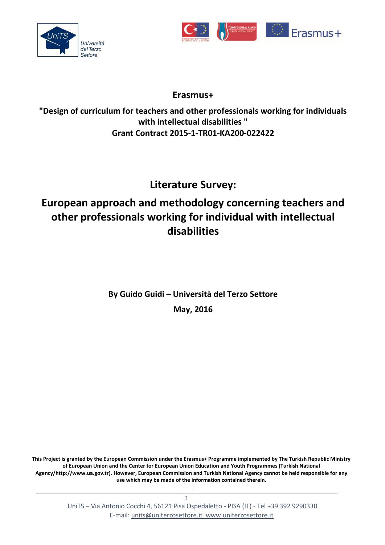



## **Erasmus+**

**"Design of curriculum for teachers and other professionals working for individuals with intellectual disabilities " Grant Contract 2015-1-TR01-KA200-022422**

# **Literature Survey:**

## **European approach and methodology concerning teachers and other professionals working for individual with intellectual disabilities**

**By Guido Guidi – Università del Terzo Settore May, 2016**

**This Project is granted by the European Commission under the Erasmus+ Programme implemented by The Turkish Republic Ministry of European Union and the Center for European Union Education and Youth Programmes (Turkish National Agency[/http://www.ua.gov.tr\)](http://www.ua.gov.tr/). However, European Commission and Turkish National Agency cannot be held responsible for any use which may be made of the information contained therein.**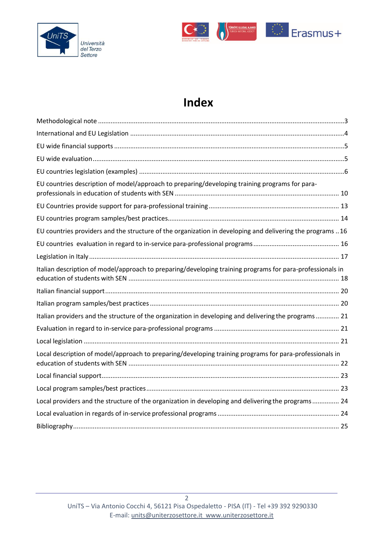



# **Index**

| EU countries description of model/approach to preparing/developing training programs for para-             |  |
|------------------------------------------------------------------------------------------------------------|--|
|                                                                                                            |  |
|                                                                                                            |  |
| EU countries providers and the structure of the organization in developing and delivering the programs  16 |  |
|                                                                                                            |  |
|                                                                                                            |  |
| Italian description of model/approach to preparing/developing training programs for para-professionals in  |  |
|                                                                                                            |  |
|                                                                                                            |  |
| Italian providers and the structure of the organization in developing and delivering the programs 21       |  |
|                                                                                                            |  |
|                                                                                                            |  |
| Local description of model/approach to preparing/developing training programs for para-professionals in    |  |
|                                                                                                            |  |
|                                                                                                            |  |
| Local providers and the structure of the organization in developing and delivering the programs 24         |  |
|                                                                                                            |  |
|                                                                                                            |  |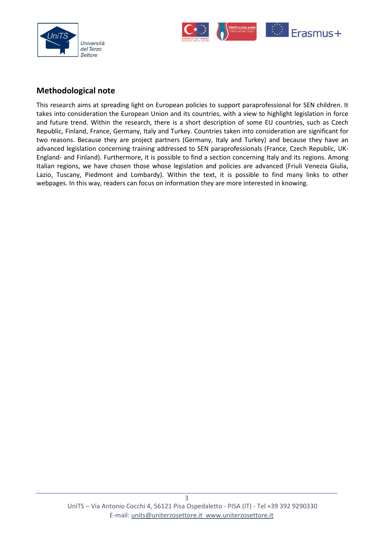



#### <span id="page-2-0"></span>**Methodological note**

This research aims at spreading light on European policies to support paraprofessional for SEN children. It takes into consideration the European Union and its countries, with a view to highlight legislation in force and future trend. Within the research, there is a short description of some EU countries, such as Czech Republic, Finland, France, Germany, Italy and Turkey. Countries taken into consideration are significant for two reasons. Because they are project partners (Germany, Italy and Turkey) and because they have an advanced legislation concerning training addressed to SEN paraprofessionals (France, Czech Republic, UK-England- and Finland). Furthermore, it is possible to find a section concerning Italy and its regions. Among Italian regions, we have chosen those whose legislation and policies are advanced (Friuli Venezia Giulia, Lazio, Tuscany, Piedmont and Lombardy). Within the text, it is possible to find many links to other webpages. In this way, readers can focus on information they are more interested in knowing.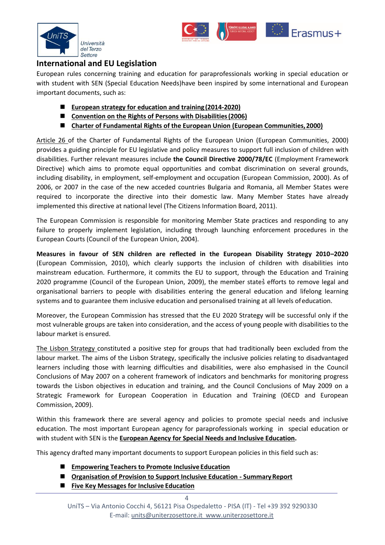



#### <span id="page-3-0"></span>**International and EU Legislation**

European rules concerning training and education for paraprofessionals working in special education or with student with SEN (Special Education Needs)have been inspired by some international and European important documents, such as:

- **[European strategy for education and training](http://eur-lex.europa.eu/legal-content/EN/TXT/PDF/?uri=CELEX%3A52009XG0528(01)&from=EN) (2014-2020)**
- Convention on the Rights of Persons with Disabilities (2006)
- **[Charter of Fundamental Rights of the European Union \(European Communities,2000\)](http://www.europarl.europa.eu/charter/pdf/text_en.pdf)**

[Article 26](https://www.european-agency.org/sites/default/files/Organisation%20of%20Provision%20Summary%20Report.pdf) of the Charter of Fundamental Rights of the European Union (European Communities, 2000) provides a guiding principle for EU legislative and policy measures to support full inclusion of children with disabilities. Further relevant measures include **the Council Directive 2000/78/EC** (Employment Framework Directive) which aims to promote equal opportunities and combat discrimination on several grounds, including disability, in employment, self-employment and occupation (European Commission, 2000). As of 2006, or 2007 in the case of the new acceded countries Bulgaria and Romania, all Member States were required to incorporate the directive into their domestic law. Many Member States have already implemented this directive at national level (The Citizens Information Board, 2011).

The European Commission is responsible for monitoring Member State practices and responding to any failure to properly implement legislation, including through launching enforcement procedures in the European Courts (Council of the European Union, 2004).

**Measures in favour of SEN children are reflected in the European Disability Strategy 2010–2020**  (European Commission, 2010), which clearly supports the inclusion of children with disabilities into mainstream education. Furthermore, it commits the EU to support, through the Education and Training 2020 programme (Council of the European Union, 2009), the member states efforts to remove legal and organisational barriers to people with disabilities entering the general education and lifelong learning systems and to guarantee them inclusive education and personalised training at all levels ofeducation.

Moreover, the European Commission has stressed that the EU 2020 Strategy will be successful only if the most vulnerable groups are taken into consideration, and the access of young people with disabilities to the labour market is ensured.

[The Lisbon Strategy c](https://www.european-agency.org/sites/default/files/vocational-education-and-training-policy-and-practice-in-the-field-of-special-needs-education-literature-review_VET-LiteratureReview.pdf)onstituted a positive step for groups that had traditionally been excluded from the labour market. The aims of the Lisbon Strategy, specifically the inclusive policies relating to disadvantaged learners including those with learning difficulties and disabilities, were also emphasised in the Council Conclusions of May 2007 on a coherent framework of indicators and benchmarks for monitoring progress towards the Lisbon objectives in education and training, and the Council Conclusions of May 2009 on a Strategic Framework for European Cooperation in Education and Training (OECD and European Commission, 2009).

Within this framework there are several agency and policies to promote special needs and inclusive education. The most important European agency for paraprofessionals working in special education or with student with SEN is the **[European Agency for Special Needs and Inclusive Education.](https://www.european-agency.org/)**

This agency drafted many important documents to support European policies in this field such as:

- **[Empowering Teachers to Promote Inclusive](https://www.european-agency.org/sites/default/files/Empowering%20Teachers%20to%20Promote%20Inclusive%20Education.%20Conceptual%20Framework%20and%20Methodology.pdf) Education**
- **[Organisation of Provision to Support Inclusive Education -](https://www.european-agency.org/sites/default/files/Organisation%20of%20Provision%20Summary%20Report.pdf) SummaryReport**
- **[Five Key Messages for Inclusive](https://www.european-agency.org/sites/default/files/Five%20Key%20Messages%20for%20Inclusive%20Education.pdf) Education**

 $\Delta$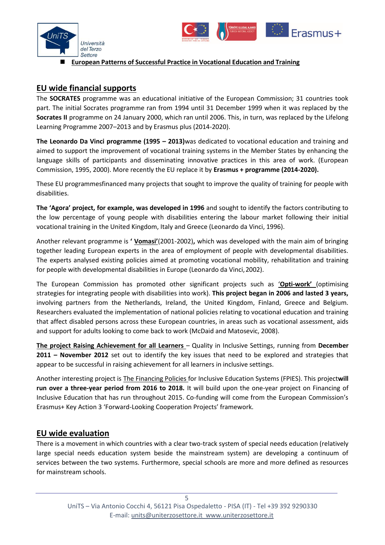



#### **European Patterns of Successful Practice in [Vocational](https://www.european-agency.org/sites/default/files/european-patterns-of-successful-practice-in-vet_vet-report_en.pdf) Education and Training**

#### <span id="page-4-0"></span>**[EU wide financial supports](https://www.european-agency.org/sites/default/files/vocational-education-and-training-policy-and-practice-in-the-field-of-special-needs-education-literature-review_VET-LiteratureReview.pdf)**

The **SOCRATES** programme was an educational initiative of the European Commission; 31 countries took part. The initial Socrates programme ran from 1994 until 31 December 1999 when it was replaced by the **Socrates II** programme on 24 January 2000, which ran until 2006. This, in turn, was replaced by the Lifelong Learning Programme 2007–2013 and by Erasmus plus (2014-2020).

**The Leonardo Da Vinci programme (1995 – 2013)**was dedicated to vocational education and training and aimed to support the improvement of vocational training systems in the Member States by enhancing the language skills of participants and disseminating innovative practices in this area of work. (European Commission, 1995, 2000). More recently the EU replace it by **Erasmus + programme (2014-2020).**

These EU programmesfinanced many projects that sought to improve the quality of training for people with disabilities.

**The 'Agora' project, for example, was developed in 1996** and sought to identify the factors contributing to the low percentage of young people with disabilities entering the labour market following their initial vocational training in the United Kingdom, Italy and Greece (Leonardo da Vinci, 1996).

Another relevant programme is **' [Vomasi](http://cordis.europa.eu/project/rcn/64450_en.html)'**(2001-2002)**,** which was developed with the main aim of bringing together leading European experts in the area of employment of people with developmental disabilities. The experts analysed existing policies aimed at promoting vocational mobility, rehabilitation and training for people with developmental disabilities in Europe (Leonardo da Vinci,2002).

The European Commission has promoted other significant projects such as '**Opti-[work'](http://www.optiwork.org/)** (optimising strategies for integrating people with disabilities into work). **This project began in 2006 and lasted 3 years,**  involving partners from the Netherlands, Ireland, the United Kingdom, Finland, Greece and Belgium. Researchers evaluated the implementation of national policies relating to vocational education and training that affect disabled persons across these European countries, in areas such as vocational assessment, aids and support for adults looking to come back to work (McDaid and Matosevic, 2008).

**[The project Raising Achievement for all Learners](https://www.european-agency.org/agency-projects/ra4al)** – Quality in Inclusive Settings, running from **December 2011 – November 2012** set out to identify the key issues that need to be explored and strategies that appear to be successful in raising achievement for all learners in inclusive settings.

Another interesting project i[s The Financing Policies f](https://www.european-agency.org/agency-projects/fpies)or Inclusive Education Systems (FPIES). This project**will run over a three-year period from 2016 to 2018.** It will build upon the one-year project on Financing of Inclusive Education that has run throughout 2015. Co-funding will come from the European Commission's Erasmus+ Key Action 3 'Forward-Looking Cooperation Projects' framework.

#### <span id="page-4-1"></span>**[EU wide evaluation](http://www.inklusion-online.net/index.php/inklusion-online/article/view/136/136)**

There is a movement in which countries with a clear two-track system of special needs education (relatively large special needs education system beside the mainstream system) are developing a continuum of services between the two systems. Furthermore, special schools are more and more defined as resources for mainstream schools.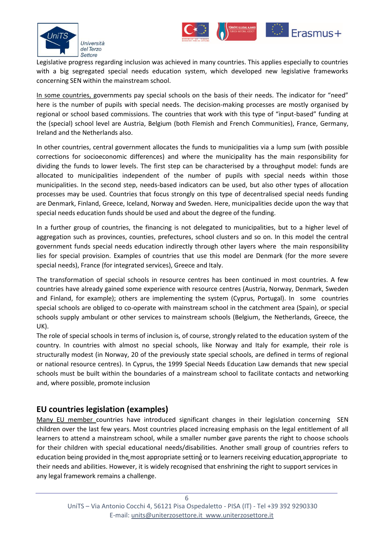



Legislative progress regarding inclusion was achieved in many countries. This applies especially to countries with a big segregated special needs education system, which developed new legislative frameworks concerning SEN within the mainstream school.

[In some countries,](https://www.european-agency.org/sites/default/files/financing-of-special-needs-education_Financing-EN.pdf) governments pay special schools on the basis of their needs. The indicator for "need" here is the number of pupils with special needs. The decision-making processes are mostly organised by regional or school based commissions. The countries that work with this type of "input-based" funding at the (special) school level are Austria, Belgium (both Flemish and French Communities), France, Germany, Ireland and the Netherlands also.

In other countries, central government allocates the funds to municipalities via a lump sum (with possible corrections for socioeconomic differences) and where the municipality has the main responsibility for dividing the funds to lower levels. The first step can be characterised by a throughput model: funds are allocated to municipalities independent of the number of pupils with special needs within those municipalities. In the second step, needs-based indicators can be used, but also other types of allocation processes may be used. Countries that focus strongly on this type of decentralised special needs funding are Denmark, Finland, Greece, Iceland, Norway and Sweden. Here, municipalities decide upon the way that special needs education funds should be used and about the degree of the funding.

In a further group of countries, the financing is not delegated to municipalities, but to a higher level of aggregation such as provinces, counties, prefectures, school clusters and so on. In this model the central government funds special needs education indirectly through other layers where the main responsibility lies for special provision. Examples of countries that use this model are Denmark (for the more severe special needs), France (for integrated services), Greece and Italy.

The transformation of special schools in resource centres has been continued in most countries. A few countries have already gained some experience with resource centres (Austria, Norway, Denmark, Sweden and Finland, for example); others are implementing the system (Cyprus, Portugal). In some countries special schools are obliged to co-operate with mainstream school in the catchment area (Spain), or special schools supply ambulant or other services to mainstream schools (Belgium, the Netherlands, Greece, the UK).

The role of special schools in terms of inclusion is, of course, strongly related to the education system of the country. In countries with almost no special schools, like Norway and Italy for example, their role is structurally modest (in Norway, 20 of the previously state special schools, are defined in terms of regional or national resource centres). In Cyprus, the 1999 Special Needs Education Law demands that new special schools must be built within the boundaries of a mainstream school to facilitate contacts and networking and, where possible, promote inclusion

### <span id="page-5-0"></span>**EU countries legislation (examples)**

[Many EU member](https://www.european-agency.org/sites/default/files/Organisation%20of%20Provision%20Summary%20Report.pdf) countries have introduced significant changes in their legislation concerning SEN children over the last few years. Most countries placed increasing emphasis on the legal entitlement of all learners to attend a mainstream school, while a smaller number gave parents the right to choose schools for their children with special educational needs/disabilities. Another small group of countries refers to education being provided in the most appropriate setting or to learners receiving education appropriate to their needs and abilities. However, it is widely recognised that enshrining the right to support services in any legal framework remains a challenge.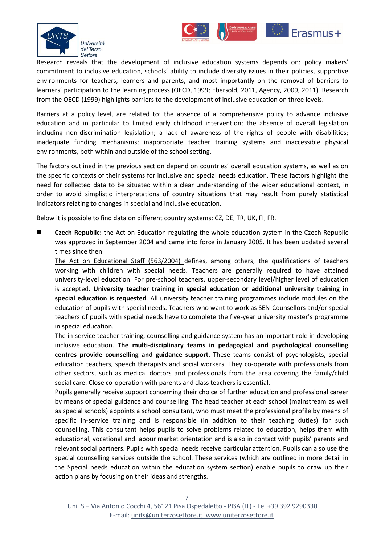



[Research reveals](https://www.european-agency.org/sites/default/files/mipie-report_MIPIE-Report.pdf) that the development of inclusive education systems depends on: policy makers' commitment to inclusive education, schools' ability to include diversity issues in their policies, supportive environments for teachers, learners and parents, and most importantly on the removal of barriers to learners' participation to the learning process (OECD, 1999; Ebersold, 2011, Agency, 2009, 2011). Research from the OECD (1999) highlights barriers to the development of inclusive education on three levels.

Barriers at a policy level, are related to: the absence of a comprehensive policy to advance inclusive education and in particular to limited early childhood intervention; the absence of overall legislation including non-discrimination legislation; a lack of awareness of the rights of people with disabilities; inadequate funding mechanisms; inappropriate teacher training systems and inaccessible physical environments, both within and outside of the school setting.

The factors outlined in the previous section depend on countries' overall education systems, as well as on the specific contexts of their systems for inclusive and special needs education. These factors highlight the need for collected data to be situated within a clear understanding of the wider educational context, in order to avoid simplistic interpretations of country situations that may result from purely statistical indicators relating to changes in special and inclusive education.

Below it is possible to find data on different country systems: CZ, DE, TR, UK, FI, FR.

**EXECT ACTES Republic:** the Act on Education regulating the whole education system in the Czech Republic was approved in September 2004 and came into force in January 2005. It has been updated several times since then.

[The Act on Educational Staff \(563/2004\)](https://www.european-agency.org/country-information/czech-republic/national-overview/teacher-training-basic-and-specialist-teacher-training) defines, among others, the qualifications of teachers working with children with special needs. Teachers are generally required to have attained university-level education. For pre-school teachers, upper-secondary level/higher level of education is accepted. **University teacher training in special education or additional university training in special education is requested**. All university teacher training programmes include modules on the education of pupils with special needs. Teachers who want to work as SEN-Counsellors and/or special teachers of pupils with special needs have to complete the five-year university master's programme in special education.

The in-service teacher training, counselling and guidance system has an important role in developing inclusive education. **The multi-disciplinary teams in pedagogical and psychological counselling centres provide counselling and guidance support**. These teams consist of psychologists, special education teachers, speech therapists and social workers. They co-operate with professionals from other sectors, such as medical doctors and professionals from the area covering the family/child social care. Close co-operation with parents and class teachers is essential.

Pupils generally receive support concerning their choice of further education and professional career by means of special guidance and counselling. The head teacher at each school (mainstream as well as special schools) appoints a school consultant, who must meet the professional profile by means of specific in-service training and is responsible (in addition to their teaching duties) for such counselling. This consultant helps pupils to solve problems related to education, helps them with educational, vocational and labour market orientation and is also in contact with pupils' parents and relevant social partners. Pupils with special needs receive particular attention. Pupils can also use the special counselling services outside the school. These services (which are outlined in more detail in the Special needs education within the education system section) enable pupils to draw up their action plans by focusing on their ideas and strengths.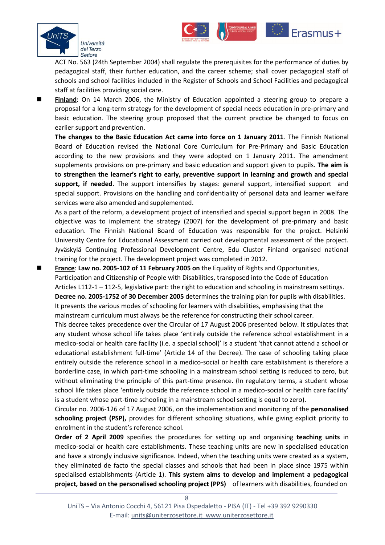

ACT No. 563 (24th September 2004) shall regulate the prerequisites for the performance of duties by pedagogical staff, their further education, and the career scheme; shall cover pedagogical staff of schools and school facilities included in the Register of Schools and School Facilities and pedagogical staff at facilities providing social care.

Erasmus+

 **[Finland](https://www.european-agency.org/country-information/finland/national-overview/legal-system)**: On 14 March 2006, the Ministry of Education appointed a steering group to prepare a proposal for a long-term strategy for the development of special needs education in pre-primary and basic education. The steering group proposed that the current practice be changed to focus on earlier support and prevention.

**The changes to the Basic Education Act came into force on 1 January 2011**. The Finnish National Board of Education revised the National Core Curriculum for Pre-Primary and Basic Education according to the new provisions and they were adopted on 1 January 2011. The amendment supplements provisions on pre-primary and basic education and support given to pupils. **The aim is to strengthen the learner's right to early, preventive support in learning and growth and special support, if needed**. The support intensifies by stages: general support, intensified support and special support. Provisions on the handling and confidentiality of personal data and learner welfare services were also amended and supplemented.

As a part of the reform, a development project of intensified and special support began in 2008. The objective was to implement the strategy (2007) for the development of pre-primary and basic education. The Finnish National Board of Education was responsible for the project. Helsinki University Centre for Educational Assessment carried out developmental assessment of the project. Jyväskylä Continuing Professional Development Centre, Edu Cluster Finland organised national training for the project. The development project was completed in 2012.

 **[France](https://www.european-agency.org/country-information/france/national-overview/legal-system)**: **Law no. 2005-102 of 11 February 2005 on** the Equality of Rights and Opportunities, Participation and Citizenship of People with Disabilities, transposed into the Code of Education Articles L112-1 – 112-5, legislative part: the right to education and schooling in mainstream settings. **Decree no. 2005-1752 of 30 December 2005** determines the training plan for pupils with disabilities. It presents the various modes of schooling for learners with disabilities, emphasising that the mainstream curriculum must always be the reference for constructing their school career.

This decree takes precedence over the Circular of 17 August 2006 presented below. It stipulates that any student whose school life takes place 'entirely outside the reference school establishment in a medico-social or health care facility (i.e. a special school)' is a student 'that cannot attend a school or educational establishment full-time' (Article 14 of the Decree). The case of schooling taking place entirely outside the reference school in a medico-social or health care establishment is therefore a borderline case, in which part-time schooling in a mainstream school setting is reduced to zero, but without eliminating the principle of this part-time presence. (In regulatory terms, a student whose school life takes place 'entirely outside the reference school in a medico-social or health care facility' is a student whose part-time schooling in a mainstream school setting is equal to zero).

Circular no. 2006-126 of 17 August 2006, on the implementation and monitoring of the **personalised schooling project (PSP),** provides for different schooling situations, while giving explicit priority to enrolment in the student's reference school.

**Order of 2 April 2009** specifies the procedures for setting up and organising **teaching units** in medico-social or health care establishments. These teaching units are new in specialised education and have a strongly inclusive significance. Indeed, when the teaching units were created as a system, they eliminated de facto the special classes and schools that had been in place since 1975 within specialised establishments (Article 1). **This system aims to develop and implement a pedagogical project, based on the personalised schooling project (PPS)** of learners with disabilities, founded on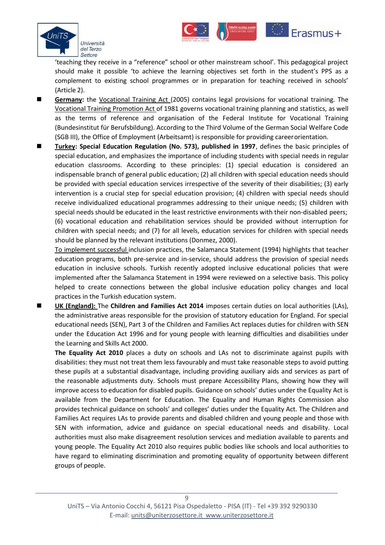

'teaching they receive in a "reference" school or other mainstream school'. This pedagogical project should make it possible 'to achieve the learning objectives set forth in the student's PPS as a complement to existing school programmes or in preparation for teaching received in schools' (Article 2).

Erasmus+

- **[Germany:](https://www.european-agency.org/country-information/germany/national-overview/legal-system)** the [Vocational Training Act \(](https://www.bmbf.de/pub/BBiG_englisch_050805.pdf)2005) contains legal provisions for vocational training. The [Vocational Training Promotion Act o](https://www.bmbf.de/pub/berbig99.pdf)f 1981 governs vocational training planning and statistics, as well as the terms of reference and organisation of the Federal Institute for Vocational Training (Bundesinstitut für Berufsbildung). According to the Third Volume of the German Social Welfare Code (SGB III), the Office of Employment (Arbeitsamt) is responsible for providing careerorientation.
- **[Turkey:](http://www.orhancakiroglu.net/articles/Special%20Education%20in%20Turkey.pdf) Special Education Regulation (No. 573), published in 1997**, defines the basic principles of special education, and emphasizes the importance of including students with special needs in regular education classrooms. According to these principles: (1) special education is considered an indispensable branch of general public education; (2) all children with special education needs should be provided with special education services irrespective of the severity of their disabilities; (3) early intervention is a crucial step for special education provision; (4) children with special needs should receive individualized educational programmes addressing to their unique needs; (5) children with special needs should be educated in the least restrictive environments with their non-disabled peers; (6) vocational education and rehabilitation services should be provided without interruption for children with special needs; and (7) for all levels, education services for children with special needs should be planned by the relevant institutions (Donmez, 2000).

[To implement successful i](https://repository.asu.edu/attachments/56300/content/Ciyer_asu_0010E_10252.pdf)nclusion practices, the Salamanca Statement (1994) highlights that teacher education programs, both pre-service and in-service, should address the provision of special needs education in inclusive schools. Turkish recently adopted inclusive educational policies that were implemented after the Salamanca Statement in 1994 were reviewed on a selective basis. This policy helped to create connections between the global inclusive education policy changes and local practices in the Turkish education system.

 **[UK \(England\):](https://www.european-agency.org/country-information/united-kingdom-england/national-overview/legal-system)** The **Children and Families Act 2014** imposes certain duties on local authorities (LAs), the administrative areas responsible for the provision of statutory education for England. For special educational needs (SEN), Part 3 of the Children and Families Act replaces duties for children with SEN under the Education Act 1996 and for young people with learning difficulties and disabilities under the Learning and Skills Act 2000.

**The Equality Act 2010** places a duty on schools and LAs not to discriminate against pupils with disabilities: they must not treat them less favourably and must take reasonable steps to avoid putting these pupils at a substantial disadvantage, including providing auxiliary aids and services as part of the reasonable adjustments duty. Schools must prepare Accessibility Plans, showing how they will improve access to education for disabled pupils. Guidance on schools' duties under the Equality Act is available from the Department for Education. The Equality and Human Rights Commission also provides technical guidance on schools' and colleges' duties under the Equality Act. The Children and Families Act requires LAs to provide parents and disabled children and young people and those with SEN with information, advice and guidance on special educational needs and disability. Local authorities must also make disagreement resolution services and mediation available to parents and young people. The Equality Act 2010 also requires public bodies like schools and local authorities to have regard to eliminating discrimination and promoting equality of opportunity between different groups of people.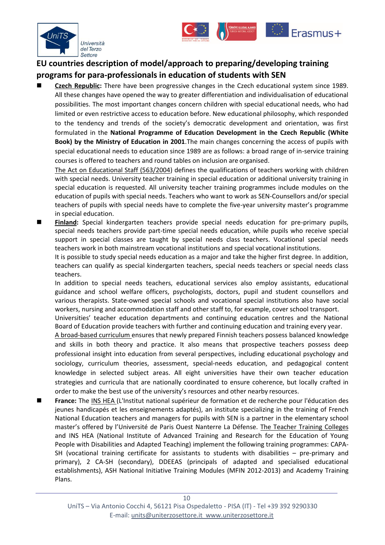



## <span id="page-9-0"></span>**EU countries description of model/approach to preparing/developing training programs for para-professionals in education of students with SEN**

 **[Czech Republic:](https://www.european-agency.org/country-information/czech-republic/national-overview/special-needs-education-within-the-education-system)** There have been progressive changes in the Czech educational system since 1989. All these changes have opened the way to greater differentiation and individualisation of educational possibilities. The most important changes concern children with special educational needs, who had limited or even restrictive access to education before. New educational philosophy, which responded to the tendency and trends of the society's democratic development and orientation, was first formulated in the **National Programme of Education Development in the Czech Republic (White Book) by the Ministry of Education in 2001**.The main changes concerning the access of pupils with special educational needs to education since 1989 are as follows: a broad range of in-service training courses is offered to teachers and round tables on inclusion are organised.

[The Act on Educational Staff \(563/2004\)](https://www.european-agency.org/country-information/czech-republic/national-overview/teacher-training-basic-and-specialist-teacher-training) defines the qualifications of teachers working with children with special needs. University teacher training in special education or additional university training in special education is requested. All university teacher training programmes include modules on the education of pupils with special needs. Teachers who want to work as SEN-Counsellors and/or special teachers of pupils with special needs have to complete the five-year university master's programme in special education.

 **[Finland:](https://www.european-agency.org/country-information/finland/national-overview/teacher-training-basic-and-specialist-teacher-training)** Special kindergarten teachers provide special needs education for pre-primary pupils, special needs teachers provide part-time special needs education, while pupils who receive special support in special classes are taught by special needs class teachers. Vocational special needs teachers work in both mainstream vocational institutions and special vocational institutions.

It is possible to study special needs education as a major and take the higher first degree. In addition, teachers can qualify as special kindergarten teachers, special needs teachers or special needs class teachers.

In addition to special needs teachers, educational services also employ assistants, educational guidance and school welfare officers, psychologists, doctors, pupil and student counsellors and various therapists. State-owned special schools and vocational special institutions also have social workers, nursing and accommodation staff and other staff to, for example, cover school transport.

Universities' teacher education departments and continuing education centres and the National Board of Education provide teachers with further and continuing education and training every year.

[A broad-based curriculum e](https://edpolicy.stanford.edu/sites/default/files/publications/secret-finland%E2%80%99s-success-educating-teachers.pdf)nsures that newly prepared Finnish teachers possess balanced knowledge and skills in both theory and practice. It also means that prospective teachers possess deep professional insight into education from several perspectives, including educational psychology and sociology, curriculum theories, assessment, special-needs education, and pedagogical content knowledge in selected subject areas. All eight universities have their own teacher education strategies and curricula that are nationally coordinated to ensure coherence, but locally crafted in order to make the best use of the university's resources and other nearby resources.

 **France:** The [INS HEA](http://www.inshea.fr/en/content/ins-hea-get-know-us) (L'Institut national supérieur de formation et de recherche pour l'éducation des jeunes handicapés et les enseignements adaptés), an institute specializing in the training of French National Education teachers and managers for pupils with SEN is a partner in the elementary school master's offered by l'Université de Paris Ouest Nanterre La Défense. The Teacher [Training Colleges](https://www.european-agency.org/country-information/france/national-overview/teacher-training-basic-and-specialist-teacher-training)  and INS HEA (National Institute of Advanced Training and Research for the Education of Young People with Disabilities and Adapted Teaching) implement the following training programmes: CAPA-SH (vocational training certificate for assistants to students with disabilities – pre-primary and primary), 2 CA-SH (secondary), DDEEAS (principals of adapted and specialised educational establishments), ASH National Initiative Training Modules (MFIN 2012-2013) and Academy Training Plans.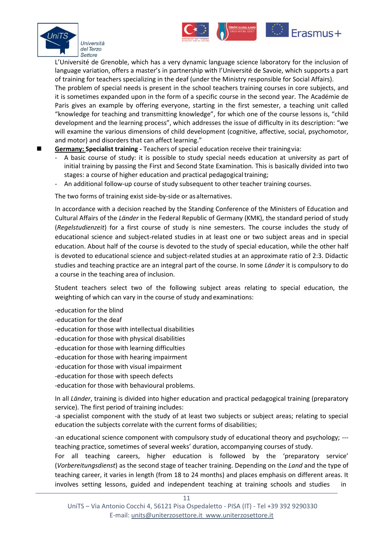



**Frasmus+** 

The problem of special needs is present in the school teachers training courses in core subjects, and it is sometimes expanded upon in the form of a specific course in the second year. The Académie de Paris gives an example by offering everyone, starting in the first semester, a teaching unit called "knowledge for teaching and transmitting knowledge", for which one of the course lessons is, "child development and the learning process", which addresses the issue of difficulty in its description: "we will examine the various dimensions of child development (cognitive, affective, social, psychomotor, and motor) and disorders that can affect learning."

- **[Germany: S](https://www.european-agency.org/country-information/germany/national-overview/teacher-training-basic-and-specialist-teacher-training)pecialist training -** Teachers of special education receive their trainingvia:
	- A basic course of study: it is possible to study special needs education at university as part of initial training by passing the First and Second State Examination. This is basically divided into two stages: a course of higher education and practical pedagogical training;
	- An additional follow-up course of study subsequent to other teacher training courses.

The two forms of training exist side-by-side or as alternatives.

In accordance with a decision reached by the Standing Conference of the Ministers of Education and Cultural Affairs of the *Länder* in the Federal Republic of Germany (KMK), the standard period of study (*Regelstudienzeit*) for a first course of study is nine semesters. The course includes the study of educational science and subject-related studies in at least one or two subject areas and in special education. About half of the course is devoted to the study of special education, while the other half is devoted to educational science and subject-related studies at an approximate ratio of 2:3. Didactic studies and teaching practice are an integral part of the course. In some *Länder* it is compulsory to do a course in the teaching area of inclusion.

Student teachers select two of the following subject areas relating to special education, the weighting of which can vary in the course of study and examinations:

- -education for the blind
- -education for the deaf
- -education for those with intellectual disabilities
- -education for those with physical disabilities
- -education for those with learning difficulties
- -education for those with hearing impairment
- -education for those with visual impairment
- -education for those with speech defects
- -education for those with behavioural problems.

In all *Länder*, training is divided into higher education and practical pedagogical training (preparatory service). The first period of training includes:

-a specialist component with the study of at least two subjects or subject areas; relating to special education the subjects correlate with the current forms of disabilities;

-an educational science component with compulsory study of educational theory and psychology; -- teaching practice, sometimes of several weeks' duration, accompanying courses of study.

For all teaching careers, higher education is followed by the 'preparatory service' (*Vorbereitungsdienst*) as the second stage of teacher training. Depending on the *Land* and the type of teaching career, it varies in length (from 18 to 24 months) and places emphasis on different areas. It involves setting lessons, guided and independent teaching at training schools and studies in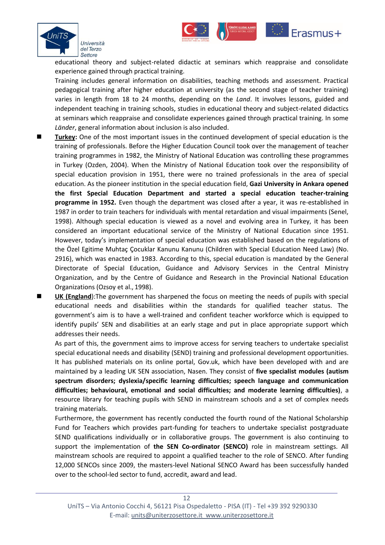

educational theory and subject-related didactic at seminars which reappraise and consolidate experience gained through practical training.

Erasmus+

Training includes general information on disabilities, teaching methods and assessment. Practical pedagogical training after higher education at university (as the second stage of teacher training) varies in length from 18 to 24 months, depending on the *Land*. It involves lessons, guided and independent teaching in training schools, studies in educational theory and subject-related didactics at seminars which reappraise and consolidate experiences gained through practical training. In some *Länder*, general information about inclusion is also included.

- **[Turkey:](http://www.orhancakiroglu.net/articles/Special%20Education%20in%20Turkey.pdf)** One of the most important issues in the continued development of special education is the training of professionals. Before the Higher Education Council took over the management of teacher training programmes in 1982, the Ministry of National Education was controlling these programmes in Turkey (Ozden, 2004). When the Ministry of National Education took over the responsibility of special education provision in 1951, there were no trained professionals in the area of special education. As the pioneer institution in the special education field, **Gazi University in Ankara opened the first Special Education Department and started a special education teacher-training programme in 1952.** Even though the department was closed after a year, it was re-established in 1987 in order to train teachers for individuals with mental retardation and visual impairments (Senel, 1998). Although special education is viewed as a novel and evolving area in Turkey, it has been considered an important educational service of the Ministry of National Education since 1951. However, today's implementation of special education was established based on the regulations of the Özel Egitime Muhtaç Çocuklar Kanunu Kanunu (Children with Special Education Need Law) (No. 2916), which was enacted in 1983. According to this, special education is mandated by the General Directorate of Special Education, Guidance and Advisory Services in the Central Ministry Organization, and by the Centre of Guidance and Research in the Provincial National Education Organizations (Ozsoy et al., 1998).
	- **[UK \(England](https://www.european-agency.org/country-information/united-kingdom-england/national-overview/teacher-training-basic-and-specialist-teacher-training)**):The government has sharpened the focus on meeting the needs of pupils with special educational needs and disabilities within the standards for qualified teacher status. The government's aim is to have a well-trained and confident teacher workforce which is equipped to identify pupils' SEN and disabilities at an early stage and put in place appropriate support which addresses their needs.

As part of this, the government aims to improve access for serving teachers to undertake specialist special educational needs and disability (SEND) training and professional development opportunities. It has published materials on its online portal, Gov.uk, which have been developed with and are maintained by a leading UK SEN association, Nasen. They consist of **five specialist modules (autism spectrum disorders; dyslexia/specific learning difficulties; speech language and communication difficulties; behavioural, emotional and social difficulties; and moderate learning difficulties)**, a resource library for teaching pupils with SEND in mainstream schools and a set of complex needs training materials.

Furthermore, the government has recently conducted the fourth round of the National Scholarship Fund for Teachers which provides part-funding for teachers to undertake specialist postgraduate SEND qualifications individually or in collaborative groups. The government is also continuing to support the implementation of **the SEN Co-ordinator (SENCO)** role in mainstream settings. All mainstream schools are required to appoint a qualified teacher to the role of SENCO. After funding 12,000 SENCOs since 2009, the masters-level National SENCO Award has been successfully handed over to the school-led sector to fund, accredit, award and lead.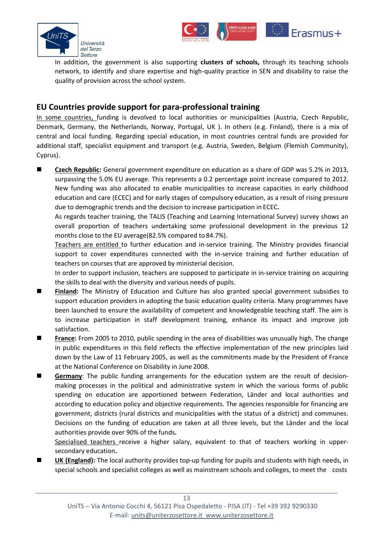



In addition, the government is also supporting **clusters of schools,** through its teaching schools network, to identify and share expertise and high-quality practice in SEN and disability to raise the quality of provision across the school system.

### <span id="page-12-0"></span>**EU Countries provide support for para-professional training**

[In some countries,](https://www.european-agency.org/sites/default/files/agency-projects/organisation-of-provision/OoP%20synthesis%20of%20country%20information%20-%20draft%2003%20Oct.pdf) funding is devolved to local authorities or municipalities (Austria, Czech Republic, Denmark, Germany, the Netherlands, Norway, Portugal, UK ). In others (e.g. Finland), there is a mix of central and local funding. Regarding special education, in most countries central funds are provided for additional staff, specialist equipment and transport (e.g. Austria, Sweden, Belgium (Flemish Community), Cyprus).

■ [Czech Republic:](http://ec.europa.eu/education/tools/docs/2015/monitor2015-czechrepublic_en.pdf) General government expenditure on education as a share of GDP was 5.2% in 2013, surpassing the 5.0% EU average. This represents a 0.2 percentage point increase compared to 2012. New funding was also allocated to enable municipalities to increase capacities in early childhood education and care (ECEC) and for early stages of compulsory education, as a result of rising pressure due to demographic trends and the decision to increase participation in ECEC**.**

As regards teacher training, the TALIS (Teaching and Learning International Survey) survey shows an overall proportion of teachers undertaking some professional development in the previous 12 months close to the EU average(82.5% compared to 84.7%).

[Teachers are entitled](https://www.european-agency.org/country-information/czech-republic/national-overview/teacher-training-basic-and-specialist-teacher-training) to further education and in-service training. The Ministry provides financial support to cover expenditures connected with the in-service training and further education of teachers on courses that are approved by ministerial decision.

In order to support inclusion, teachers are supposed to participate in in-service training on acquiring the skills to deal with the diversity and various needs of pupils.

- **[Finland:](https://www.european-agency.org/country-information/finland/national-overview/financing)** The Ministry of Education and Culture has also granted special government subsidies to support education providers in adopting the basic education quality criteria. Many programmes have been launched to ensure the availability of competent and knowledgeable teaching staff. The aim is to increase participation in staff development training, enhance its impact and improve job satisfaction.
- **[France:](https://www.european-agency.org/country-information/france/national-overview/financing)** From 2005 to 2010, public spending in the area of disabilities was unusually high. The change in public expenditures in this field reflects the effective implementation of the new principles laid down by the Law of 11 February 2005, as well as the commitments made by the President of France at the National Conference on Disability in June 2008.
- **[Germany](https://www.european-agency.org/country-information/germany/national-overview/financing)**: The public funding arrangements for the education system are the result of decisionmaking processes in the political and administrative system in which the various forms of public spending on education are apportioned between Federation, Länder and local authorities and according to education policy and objective requirements. The agencies responsible for financing are government, districts (rural districts and municipalities with the status of a district) and communes. Decisions on the funding of education are taken at all three levels, but the Länder and the local authorities provide over 90% of the funds**.**

[Specialised teachers](https://www.european-agency.org/country-information/germany/national-overview/teacher-training-basic-and-specialist-teacher-training) receive a higher salary, equivalent to that of teachers working in uppersecondary education**.**

 **[UK \(England\)](https://www.european-agency.org/country-information/united-kingdom-england/national-overview/complete-national-overview):** The local authority provides top-up funding for pupils and students with high needs, in special schools and specialist colleges as well as mainstream schools and colleges, to meet the costs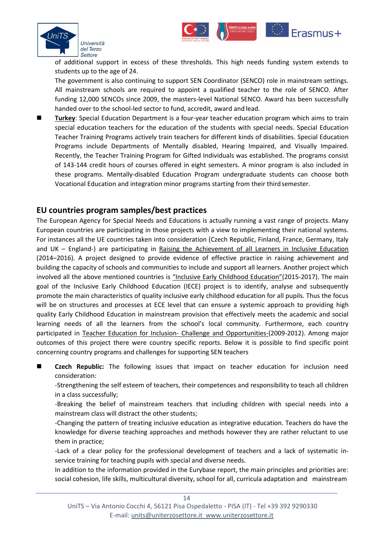



**E**rasmus+

The government is also continuing to support SEN Coordinator (SENCO) role in mainstream settings. All mainstream schools are required to appoint a qualified teacher to the role of SENCO. After funding 12,000 SENCOs since 2009, the masters-level National SENCO. Award has been successfully handed over to the school-led sector to fund, accredit, award and lead.

 **[Turkey](http://www.tojet.net/articles/v5i3/537.pdf)**: Special Education Department is a four-year teacher education program which aims to train special education teachers for the education of the students with special needs. Special Education Teacher Training Programs actively train teachers for different kinds of disabilities. Special Education Programs include Departments of Mentally disabled, Hearing Impaired, and Visually Impaired. Recently, the Teacher Training Program for Gifted Individuals was established. The programs consist of 143-144 credit hours of courses offered in eight semesters. A minor program is also included in these programs. Mentally-disabled Education Program undergraduate students can choose both Vocational Education and integration minor programs starting from their thirdsemester.

#### <span id="page-13-0"></span>**EU countries program samples/best practices**

The European Agency for Special Needs and Educations is actually running a vast range of projects. Many European countries are participating in those projects with a view to implementing their national systems. For instances all the UE countries taken into consideration (Czech Republic, Finland, France, Germany, Italy and UK – England-) are participating in [Raising the Achievement of all Learners in Inclusive Education](https://www.european-agency.org/agency-projects/raising-achievement) (2014–2016). A project designed to provide evidence of effective practice in raising achievement and building the capacity of schools and communities to include and support all learners. Another project which involved all the above mentioned countries is ["Inclusive Early Childhood Education"](https://www.european-agency.org/agency-projects/inclusive-early-childhood-education)(2015-2017). The main goal of the Inclusive Early Childhood Education (IECE) project is to identify, analyse and subsequently promote the main characteristics of quality inclusive early childhood education for all pupils. Thus the focus will be on structures and processes at ECE level that can ensure a systemic approach to providing high quality Early Childhood Education in mainstream provision that effectively meets the academic and social learning needs of all the learners from the school's local community. Furthermore, each country participated in [Teacher Education for Inclusion-](https://www.european-agency.org/agency-projects/Teacher-Education-for-Inclusion/country-info) Challenge and Opportunities-(2009-2012). Among major outcomes of this project there were country specific reports. Below it is possible to find specific point concerning country programs and challenges for supporting SEN teachers

- **Czech Republic:** The following issues that impact on teacher education for inclusion need consideration:
	- -Strengthening the self esteem of teachers, their competences and responsibility to teach all children in a class successfully;
	- -Breaking the belief of mainstream teachers that including children with special needs into a mainstream class will distract the other students;
	- -Changing the pattern of treating inclusive education as integrative education. Teachers do have the knowledge for diverse teaching approaches and methods however they are rather reluctant to use them in practice;
	- -Lack of a clear policy for the professional development of teachers and a lack of systematic inservice training for teaching pupils with special and diverse needs.
	- In addition to the information provided in the Eurybase report, the main principles and priorities are: social cohesion, life skills, multicultural diversity, school for all, curricula adaptation and mainstream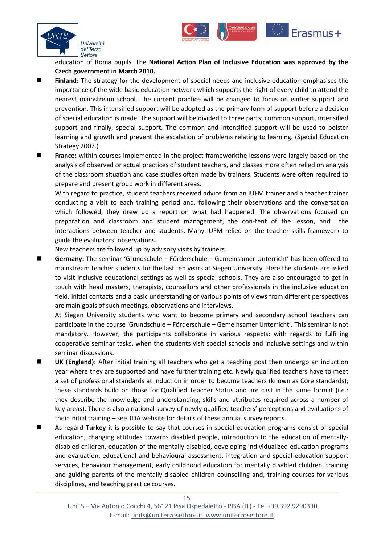



Erasmus+

- **Finland:** The strategy for the development of special needs and inclusive education emphasises the importance of the wide basic education network which supports the right of every child to attend the nearest mainstream school. The current practice will be changed to focus on earlier support and prevention. This intensified support will be adopted as the primary form of support before a decision of special education is made. The support will be divided to three parts; common support, intensified support and finally, special support. The common and intensified support will be used to bolster learning and growth and prevent the escalation of problems relating to learning. (Special Education Strategy 2007.)
- **France:** within courses implemented in the project frameworkthe lessons were largely based on the analysis of observed or actual practices of student teachers, and classes more often relied on analysis of the classroom situation and case studies often made by trainers. Students were often required to prepare and present group work in different areas.

With regard to practice, student teachers received advice from an IUFM trainer and a teacher trainer conducting a visit to each training period and, following their observations and the conversation which followed, they drew up a report on what had happened. The observations focused on preparation and classroom and student management, the con-tent of the lesson, and the interactions between teacher and students. Many IUFM relied on the teacher skills framework to guide the evaluators' observations.

New teachers are followed up by advisory visits by trainers.

 **Germany:** The seminar 'Grundschule – Förderschule – Gemeinsamer Unterricht' has been offered to mainstream teacher students for the last ten years at Siegen University. Here the students are asked to visit inclusive educational settings as well as special schools. They are also encouraged to get in touch with head masters, therapists, counsellors and other professionals in the inclusive education field. Initial contacts and a basic understanding of various points of views from different perspectives are main goals of such meetings, observations and interviews.

At Siegen University students who want to become primary and secondary school teachers can participate in the course 'Grundschule – Förderschule – Gemeinsamer Unterricht'. This seminar is not mandatory. However, the participants collaborate in various respects: with regards to fulfilling cooperative seminar tasks, when the students visit special schools and inclusive settings and within seminar discussions.

- **UK (England):** After initial training all teachers who get a teaching post then undergo an induction year where they are supported and have further training etc. Newly qualified teachers have to meet a set of professional standards at induction in order to become teachers (known as Core standards); these standards build on those for Qualified Teacher Status and are cast in the same format (i.e.: they describe the knowledge and understanding, skills and attributes required across a number of key areas). There is also a national survey of newly qualified teachers' perceptions and evaluations of their initial training – see TDA website for details of these annual survey reports.
- As regard **[Turkey](http://www.tojet.net/articles/v5i3/537.pdf)** it is possible to say that courses in special education programs consist of special education, changing attitudes towards disabled people, introduction to the education of mentallydisabled children, education of the mentally disabled, developing individualized education programs and evaluation, educational and behavioural assessment, integration and special education support services, behaviour management, early childhood education for mentally disabled children, training and guiding parents of the mentally disabled children counselling and, training courses for various disciplines, and teaching practice courses.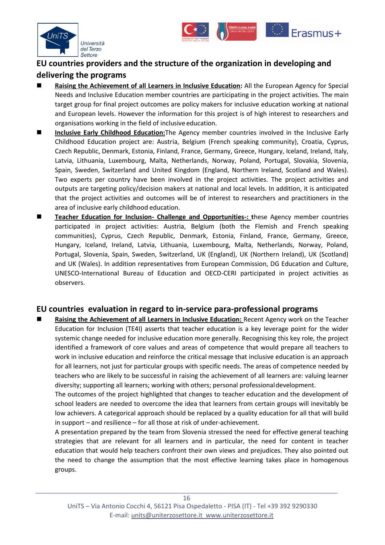



## <span id="page-15-0"></span>**EU countries providers and the structure of the organization in developing and delivering the programs**

- **[Raising the Achievement of all Learners in Inclusive Education:](https://www.european-agency.org/agency-projects/raising-achievement)** All the European Agency for Special Needs and Inclusive Education member countries are participating in the project activities. The main target group for final project outcomes are policy makers for inclusive education working at national and European levels. However the information for this project is of high interest to researchers and organisations working in the field of inclusive education.
- **[Inclusive Early Childhood Education:](https://www.european-agency.org/agency-projects/inclusive-early-childhood-education)**The Agency member countries involved in the Inclusive Early Childhood Education project are: Austria, Belgium (French speaking community), Croatia, Cyprus, Czech Republic, Denmark, Estonia, Finland, France, Germany, Greece, Hungary, Iceland, Ireland, Italy, Latvia, Lithuania, Luxembourg, Malta, Netherlands, Norway, Poland, Portugal, Slovakia, Slovenia, Spain, Sweden, Switzerland and United Kingdom (England, Northern Ireland, Scotland and Wales). Two experts per country have been involved in the project activities. The project activities and outputs are targeting policy/decision makers at national and local levels. In addition, it is anticipated that the project activities and outcomes will be of interest to researchers and practitioners in the area of inclusive early childhood education.
- **[Teacher Education for Inclusion-](https://www.european-agency.org/agency-projects/Teacher-Education-for-Inclusion) Challenge and Opportunities-: t**hese Agency member countries participated in project activities: Austria, Belgium (both the Flemish and French speaking communities), Cyprus, Czech Republic, Denmark, Estonia, Finland, France, Germany, Greece, Hungary, Iceland, Ireland, Latvia, Lithuania, Luxembourg, Malta, Netherlands, Norway, Poland, Portugal, Slovenia, Spain, Sweden, Switzerland, UK (England), UK (Northern Ireland), UK (Scotland) and UK (Wales). In addition representatives from European Commission, DG Education and Culture, UNESCO-International Bureau of Education and OECD-CERI participated in project activities as observers.

#### <span id="page-15-1"></span>**EU countries evaluation in regard to in-service para-professional programs**

**[Raising the Achievement of all Learners in Inclusive Education:](https://www.european-agency.org/sites/default/files/ra4al-synthesis-report_RA4AL-synthesis-report.pdf) Recent Agency work on the Teacher** Education for Inclusion (TE4I) asserts that teacher education is a key leverage point for the wider systemic change needed for inclusive education more generally. Recognising this key role, the project identified a framework of core values and areas of competence that would prepare all teachers to work in inclusive education and reinforce the critical message that inclusive education is an approach for all learners, not just for particular groups with specific needs. The areas of competence needed by teachers who are likely to be successful in raising the achievement of all learners are: valuing learner diversity; supporting all learners; working with others; personal professionaldevelopment.

The outcomes of the project highlighted that changes to teacher education and the development of school leaders are needed to overcome the idea that learners from certain groups will inevitably be low achievers. A categorical approach should be replaced by a quality education for all that will build in support – and resilience – for all those at risk of under-achievement.

A presentation prepared by the team from Slovenia stressed the need for effective general teaching strategies that are relevant for all learners and in particular, the need for content in teacher education that would help teachers confront their own views and prejudices. They also pointed out the need to change the assumption that the most effective learning takes place in homogenous groups.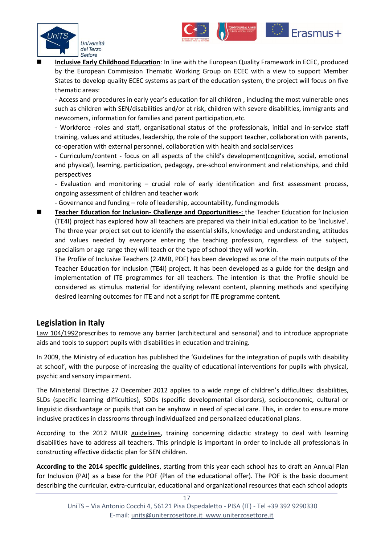

 **[Inclusive Early Childhood Education](https://www.european-agency.org/sites/default/files/agency-projects/IECE/IPPE%20project%20plan%20-%202015.08.17.pdf)**: In line with the European Quality Framework in ECEC, produced by the European Commission Thematic Working Group on ECEC with a view to support Member States to develop quality ECEC systems as part of the education system, the project will focus on five thematic areas:

Erasmus+

- Access and procedures in early year's education for all children , including the most vulnerable ones such as children with SEN/disabilities and/or at risk, children with severe disabilities, immigrants and newcomers, information for families and parent participation, etc.

- Workforce -roles and staff, organisational status of the professionals, initial and in-service staff training, values and attitudes, leadership, the role of the support teacher, collaboration with parents, co-operation with external personnel, collaboration with health and socialservices

- Curriculum/content - focus on all aspects of the child's development(cognitive, social, emotional and physical), learning, participation, pedagogy, pre-school environment and relationships, and child perspectives

- Evaluation and monitoring – crucial role of early identification and first assessment process, ongoing assessment of children and teacher work

- Governance and funding – role of leadership, accountability, funding models

 **[Teacher Education for Inclusion-](https://www.european-agency.org/agency-projects/Teacher-Education-for-Inclusion/profile) Challenge and Opportunities-:** the Teacher Education for Inclusion (TE4I) project has explored how all teachers are prepared via their initial education to be 'inclusive'. The three year project set out to identify the essential skills, knowledge and understanding, attitudes and values needed by everyone entering the teaching profession, regardless of the subject, specialism or age range they will teach or the type of school they will work in.

The Profile of Inclusive Teachers (2.4MB, PDF) has been developed as one of the main outputs of the Teacher Education for Inclusion (TE4I) project. It has been developed as a guide for the design and implementation of ITE programmes for all teachers. The intention is that the Profile should be considered as stimulus material for identifying relevant content, planning methods and specifying desired learning outcomes for ITE and not a script for ITE programme content.

### <span id="page-16-0"></span>**Legislation in Italy**

[Law 104/1992p](https://www.uni-frankfurt.de/53397339/Inclusion-Italy.pdf)rescribes to remove any barrier (architectural and sensorial) and to introduce appropriate aids and tools to support pupils with disabilities in education and training.

In 2009, the Ministry of education has published the 'Guidelines for the integration of pupils with disability at school', with the purpose of increasing the quality of educational interventions for pupils with physical, psychic and sensory impairment.

The Ministerial Directive 27 December 2012 applies to a wide range of children's difficulties: disabilities, SLDs (specific learning difficulties), SDDs (specific developmental disorders), socioeconomic, cultural or linguistic disadvantage or pupils that can be anyhow in need of special care. This, in order to ensure more inclusive practices in classrooms through individualized and personalized educational plans.

According to the 2012 MIUR [guidelines,](http://www.regione.piemonte.it/noproblem/dwd/normativa/lineeGuida_2011.pdf) training concerning didactic strategy to deal with learning disabilities have to address all teachers. This principle is important in order to include all professionals in constructing effective didactic plan for SEN children.

**According to the 2014 specific guidelines**, starting from this year each school has to draft an Annual Plan for Inclusion (PAI) as a base for the POF (Plan of the educational offer). The POF is the basic document describing the curricular, extra-curricular, educational and organizational resources that each school adopts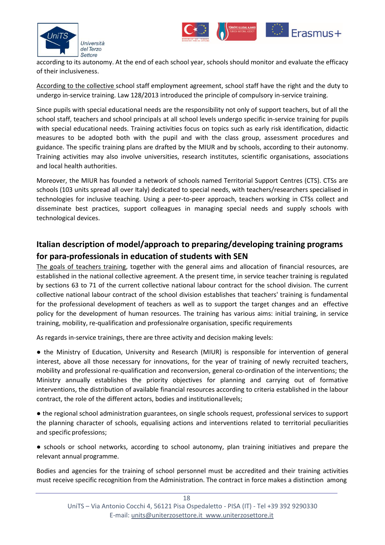



according to its autonomy. At the end of each school year, schools should monitor and evaluate the efficacy of their inclusiveness.

[According to the collective s](https://www.european-agency.org/country-information/italy/national-overview/teacher-training-basic-and-specialist-teacher-training)chool staff employment agreement, school staff have the right and the duty to undergo in-service training. Law 128/2013 introduced the principle of compulsory in-service training.

Since pupils with special educational needs are the responsibility not only of support teachers, but of all the school staff, teachers and school principals at all school levels undergo specific in-service training for pupils with special educational needs. Training activities focus on topics such as early risk identification, didactic measures to be adopted both with the pupil and with the class group, assessment procedures and guidance. The specific training plans are drafted by the MIUR and by schools, according to their autonomy. Training activities may also involve universities, research institutes, scientific organisations, associations and local health authorities.

Moreover, the MIUR has founded a network of schools named Territorial Support Centres (CTS). CTSs are schools (103 units spread all over Italy) dedicated to special needs, with teachers/researchers specialised in technologies for inclusive teaching. Using a peer-to-peer approach, teachers working in CTSs collect and disseminate best practices, support colleagues in managing special needs and supply schools with technological devices.

## <span id="page-17-0"></span>**Italian description of model/approach to preparing/developing training programs for para-professionals in education of students with SEN**

[The goals of teachers training,](http://www.indire.it/lucabas/lkmw_file/eurydice/Eurybase_EN_2009.pdf) together with the general aims and allocation of financial resources, are established in the national collective agreement. A the present time, in service teacher training is regulated by sections 63 to 71 of the current collective national labour contract for the school division. The current collective national labour contract of the school division establishes that teachers' training is fundamental for the professional development of teachers as well as to support the target changes and an effective policy for the development of human resources. The training has various aims: initial training, in service training, mobility, re-qualification and professionalre organisation, specific requirements

As regards in-service trainings, there are three activity and decision making levels:

● the Ministry of Education, University and Research (MIUR) is responsible for intervention of general interest, above all those necessary for innovations, for the year of training of newly recruited teachers, mobility and professional re-qualification and reconversion, general co-ordination of the interventions; the Ministry annually establishes the priority objectives for planning and carrying out of formative interventions, the distribution of available financial resources according to criteria established in the labour contract, the role of the different actors, bodies and institutionallevels;

● the regional school administration guarantees, on single schools request, professional services to support the planning character of schools, equalising actions and interventions related to territorial peculiarities and specific professions;

● schools or school networks, according to school autonomy, plan training initiatives and prepare the relevant annual programme.

Bodies and agencies for the training of school personnel must be accredited and their training activities must receive specific recognition from the Administration. The contract in force makes a distinction among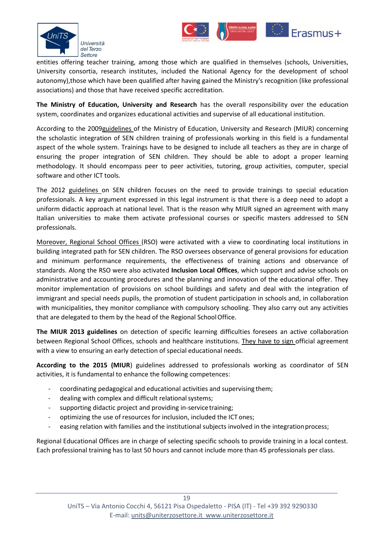



Erasmus+

**The Ministry of Education, University and Research** has the overall responsibility over the education system, coordinates and organizes educational activities and supervise of all educational institution.

According to the 200[9guidelines o](http://www.edscuola.it/archivio/norme/circolari/nota_4_agosto_09.pdf)f the Ministry of Education, University and Research (MIUR) concerning the scholastic integration of SEN children training of professionals working in this field is a fundamental aspect of the whole system. Trainings have to be designed to include all teachers as they are in charge of ensuring the proper integration of SEN children. They should be able to adopt a proper learning methodology. It should encompass peer to peer activities, tutoring, group activities, computer, special software and other ICT tools.

The 2012 [guidelines](http://hubmiur.pubblica.istruzione.it/alfresco/d/d/workspace/SpacesStore/8d31611f-9d06-47d0-bcb7-3580ea282df1/dir271212.pdf) on SEN children focuses on the need to provide trainings to special education professionals. A key argument expressed in this legal instrument is that there is a deep need to adopt a uniform didactic approach at national level. That is the reason why MIUR signed an agreement with many Italian universities to make them activate professional courses or specific masters addressed to SEN professionals.

Moreover, Regional School Offices (RSO) were activated with a view to coordinating local institutions in building integrated path for SEN children. The RSO oversees observance of general provisions for education and minimum performance requirements, the effectiveness of training actions and observance of standards. Along the RSO were also activated **Inclusion Local Offices**, which support and advise schools on administrative and accounting procedures and the planning and innovation of the educational offer. They monitor implementation of provisions on school buildings and safety and deal with the integration of immigrant and special needs pupils, the promotion of student participation in schools and, in collaboration with municipalities, they monitor compliance with compulsory schooling. They also carry out any activities that are delegated to them by the head of the Regional SchoolOffice.

**The MIUR 2013 guidelines** on detection of specific learning difficulties foresees an active collaboration between Regional School Offices, schools and healthcare institutions. [They have to sign o](https://www.regione.fvg.it/rafvg/export/sites/default/RAFVG/istruzione-ricerca/regione-per-scuole/allegati/Piano_di_interventi_POF_2016_2017.pdf)fficial agreement with a view to ensuring an early detection of special educational needs.

**According to the 2015 (MIUR**) guidelines addressed to professionals working as coordinator of SEN activities, it is fundamental to enhance the following competences:

- coordinating pedagogical and educational activities and supervising them;
- dealing with complex and difficult relational systems;
- supporting didactic project and providing in-service training;
- optimizing the use of resources for inclusion, included the ICT ones;
- easing relation with families and the institutional subjects involved in the integration process;

Regional Educational Offices are in charge of selecting specific schools to provide training in a local contest. Each professional training has to last 50 hours and cannot include more than 45 professionals per class.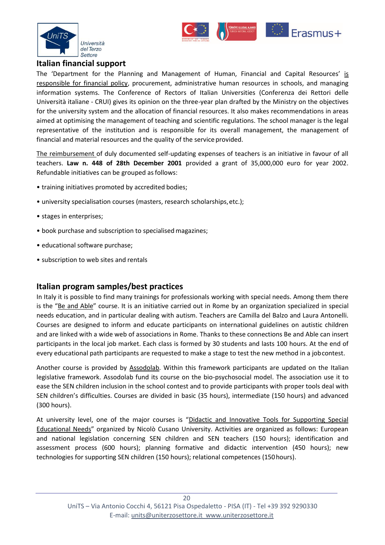



Erasmus+

#### <span id="page-19-0"></span>**Italian financial support**

The 'Department for the Planning and Management of Human, Financial and Capital Resources' is responsible for financial policy, procurement, administrative human resources in schools, and managing information systems. The Conference of Rectors of Italian Universities (Conferenza dei Rettori delle Università italiane - CRUI) gives its opinion on the three-year plan drafted by the Ministry on the objectives for the university system and the allocation of financial resources. It also makes recommendations in areas aimed at optimising the management of teaching and scientific regulations. The school manager is the legal representative of the institution and is responsible for its overall management, the management of financial and material resources and the quality of the service provided.

[The reimbursement o](http://www.univirtual.it/uteacher/downolad/European.pdf)f duly documented self-updating expenses of teachers is an initiative in favour of all teachers. **Law n. 448 of 28th December 2001** provided a grant of 35,000,000 euro for year 2002. Refundable initiatives can be grouped as follows:

- training initiatives promoted by accredited bodies;
- university specialisation courses (masters, research scholarships,etc.);
- stages in enterprises;
- book purchase and subscription to specialisedmagazines;
- educational software purchase;
- subscription to web sites and rentals

#### <span id="page-19-1"></span>**Italian program samples/best practices**

In Italy it is possible to find many trainings for professionals working with special needs. Among them there is the "[Be and Able](http://www.beandable.org/corsi/)" course. It is an initiative carried out in Rome by an organization specialized in special needs education, and in particular dealing with autism. Teachers are Camilla del Balzo and Laura Antonelli. Courses are designed to inform and educate participants on international guidelines on autistic children and are linked with a wide web of associations in Rome. Thanks to these connections Be and Able can insert participants in the local job market. Each class is formed by 30 students and lasts 100 hours. At the end of every educational path participants are requested to make a stage to test the new method in a jobcontest.

Another course is provided by [Assodolab.](http://www.assodolab.it/BES%20Bisogni%20Educativi%20Speciali/Corso%20Advanced%20BES%20Bisogni%20Educativi%20Speciali.htm) Within this framework participants are updated on the Italian legislative framework. Assodolab fund its course on the bio-psychosocial model. The association use it to ease the SEN children inclusion in the school contest and to provide participants with proper tools deal with SEN children's difficulties. Courses are divided in basic (35 hours), intermediate (150 hours) and advanced (300 hours).

At university level, one of the major courses is "[Didactic and Innovative Tools for Supporting Special](http://www.unicusano.it/corsi-di-perfezionamento-e-aggiornamento-professionale/corso-in-didattiche-e-strumenti-bes) [Educational Needs](http://www.unicusano.it/corsi-di-perfezionamento-e-aggiornamento-professionale/corso-in-didattiche-e-strumenti-bes)" organized by Nicolò Cusano University. Activities are organized as follows: European and national legislation concerning SEN children and SEN teachers (150 hours); identification and assessment process (600 hours); planning formative and didactic intervention (450 hours); new technologies for supporting SEN children (150 hours); relational competences (150hours).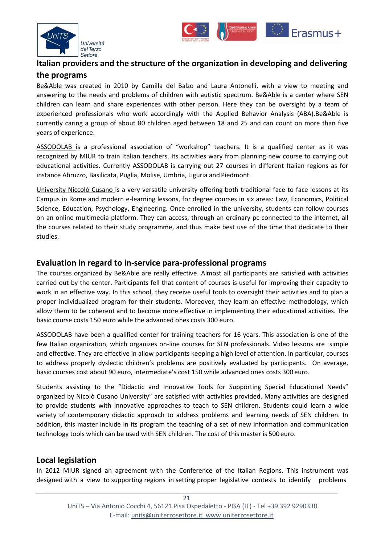



## <span id="page-20-0"></span>**Italian providers and the structure of the organization in developing and delivering**

#### **the programs**

[Be&Able](http://www.beandable.org/vision/) was created in 2010 by Camilla del Balzo and Laura Antonelli, with a view to meeting and answering to the needs and problems of children with autistic spectrum. Be&Able is a center where SEN children can learn and share experiences with other person. Here they can be oversight by a team of experienced professionals who work accordingly with the Applied Behavior Analysis (ABA).Be&Able is currently caring a group of about 80 children aged between 18 and 25 and can count on more than five years of experience.

[ASSODOLAB](http://www.assodolab.it/Associazione/Associazione.htm) is a professional association of "workshop" teachers. It is a qualified center as it was recognized by MIUR to train Italian teachers. Its activities wary from planning new course to carrying out educational activities. Currently ASSODOLAB is carrying out 27 courses in different Italian regions as for instance Abruzzo, Basilicata, Puglia, Molise, Umbria, Liguria and Piedmont.

[University Niccolò Cusano](http://www.unicusano.it/en/about-us/about-us) is a very versatile university offering both traditional face to face lessons at its Campus in Rome and modern e-learning lessons, for degree courses in six areas: Law, Economics, Political Science, Education, Psychology, Engineering. Once enrolled in the university, students can follow courses on an online multimedia platform. They can access, through an ordinary pc connected to the internet, all the courses related to their study programme, and thus make best use of the time that dedicate to their studies.

#### <span id="page-20-1"></span>**Evaluation in regard to in-service para-professional programs**

The courses organized by Be&Able are really effective. Almost all participants are satisfied with activities carried out by the center. Participants fell that content of courses is useful for improving their capacity to work in an effective way. In this school, they receive useful tools to oversight their activities and to plan a proper individualized program for their students. Moreover, they learn an effective methodology, which allow them to be coherent and to become more effective in implementing their educational activities. The basic course costs 150 euro while the advanced ones costs 300 euro.

ASSODOLAB have been a qualified center for training teachers for 16 years. This association is one of the few Italian organization, which organizes on-line courses for SEN professionals. Video lessons are simple and effective. They are effective in allow participants keeping a high level of attention. In particular, courses to address properly dyslectic children's problems are positively evaluated by participants. On average, basic courses cost about 90 euro, intermediate's cost 150 while advanced ones costs 300 euro.

Students assisting to the "Didactic and Innovative Tools for Supporting Special Educational Needs" organized by Nicolò Cusano University" are satisfied with activities provided. Many activities are designed to provide students with innovative approaches to teach to SEN children. Students could learn a wide variety of contemporary didactic approach to address problems and learning needs of SEN children. In addition, this master include in its program the teaching of a set of new information and communication technology tools which can be used with SEN children. The cost of this master is 500 euro.

#### <span id="page-20-2"></span>**Local legislation**

In 2012 MIUR signed an [agreement](http://www.regione.piemonte.it/noproblem/dwd/normativa/accStatoReg_2012.pdf) with the Conference of the Italian Regions. This instrument was designed with a view to supporting regions in setting proper legislative contests to identify problems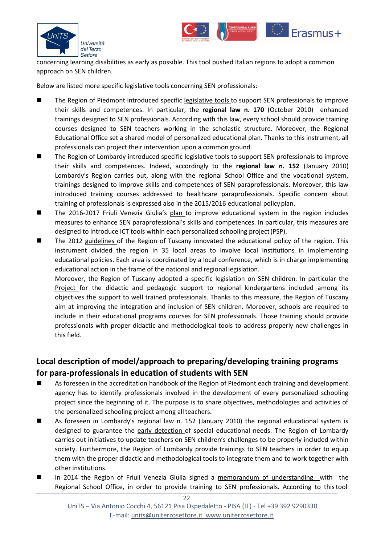



concerning learning disabilities as early as possible. This tool pushed Italian regions to adopt a common approach on SEN children.

Below are listed more specific legislative tools concerning SEN professionals:

- The Region of Piedmont introduced specific [legislative tools t](http://www.regione.piemonte.it/formazione/direttive/dwd/dirreg11/diritto_dovere/all_B.pdf)o support SEN professionals to improve their skills and competences. In particular, the **regional law n. 170** (October 2010) enhanced trainings designed to SEN professionals. According with this law, every school should provide training courses designed to SEN teachers working in the scholastic structure. Moreover, the Regional Educational Office set a shared model of personalized educational plan. Thanks to this instrument, all professionals can project their intervention upon a common ground.
- The Region of Lombardy introduced specific [legislative tools t](http://www.ctsntd-milano.net/CTRH/wp-content/uploads/2014/04/BES_modulo1_Garlaschelli.pdf)o support SEN professionals to improve their skills and competences. Indeed, accordingly to the **regional law n. 152** (January 2010) Lombardy's Region carries out, along with the regional School Office and the vocational system, trainings designed to improve skills and competences of SEN paraprofessionals. Moreover, this law introduced training courses addressed to healthcare paraprofessionals. Specific concern about training of professionals is expressed also in the 2015/2016 [educational policyplan.](http://www.isiskeynes.it/wp-content/uploads/2012/07/PROTOCOLLO-INCLUSIONE-ALUNNI-BES-DSA-DVA_allegato-6_POF_2015_16-mod.pdf)
- The 2016-2017 Friuli Venezia Giulia's [plan t](https://www.regione.fvg.it/rafvg/export/sites/default/RAFVG/istruzione-ricerca/regione-per-scuole/allegati/Piano_di_interventi_POF_2016_2017.pdf)o improve educational system in the region includes measures to enhance SEN paraprofessional's skills and competences. In particular, this measures are designed to introduce ICT tools within each personalized schooling project(PSP).
- The 2012 [guidelines o](http://www.regione.toscana.it/documents/10180/11774862/RT_2014_CAP_3_ESTRATTO.pdf/2aa47f96-65dc-4a02-92e9-6ab985d60737)f the Region of Tuscany innovated the educational policy of the region. This instrument divided the region in 35 local areas to involve local institutions in implementing educational policies. Each area is coordinated by a local conference, which is in charge implementing educational action in the frame of the national and regional legislation.

Moreover, the Region of Tuscany adopted a specific legislation on SEN children. In particular the [Project](http://www.regione.toscana.it/documents/10180/11996222/PARTE%2BIII%2Bn.%2B41%2Bdel%2B15.10.2014.pdf/8988414a-3c06-4234-817c-1901272e0653) for the didactic and pedagogic support to regional kindergartens included among its objectives the support to well trained professionals. Thanks to this measure, the Region of Tuscany aim at improving the integration and inclusion of SEN children. Moreover, schools are required to include in their educational programs courses for SEN professionals. Those training should provide professionals with proper didactic and methodological tools to address properly new challenges in this field.

### <span id="page-21-0"></span>**Local description of model/approach to preparing/developing training programs**

#### **for para-professionals in education of students with SEN**

- As foreseen in the accreditation handbook of the Region of Piedmont each training and development agency has to identify professionals involved in the development of every personalized schooling project since the beginning of it. The purpose is to share objectives, methodologies and activities of the personalized schooling project among allteachers.
- As foreseen in Lombardy's regional law n. 152 (January 2010) the regional educational system is designed to guarantee the [early detection o](http://www.ctsntd-milano.net/CTRH/wp-content/uploads/2014/04/BES_modulo1_Garlaschelli.pdf)f special educational needs. The Region of Lombardy carries out initiatives to update teachers on SEN children's challenges to be properly included within society. Furthermore, the Region of Lombardy provide trainings to SEN teachers in order to equip them with the proper didactic and methodological tools to integrate them and to work together with other institutions.
- In 2014 the Region of Friuli Venezia Giulia signed a [memorandum of understanding w](http://www.comprensivosanvito.it/joomla/pdf/Normativa%20DSA/18%20giugno%202014%20-%20Protocollo%20Intesa%20USR%20Regione%20FVG%20DSA.pdf)ith the Regional School Office, in order to provide training to SEN professionals. According to thistool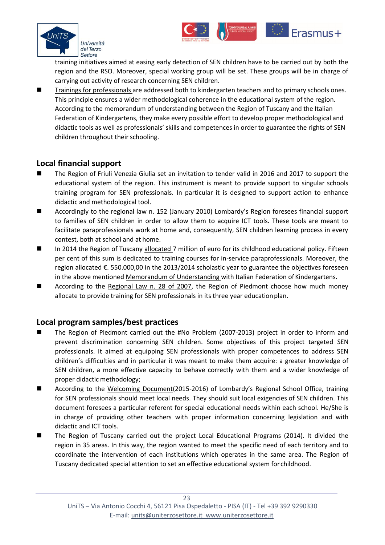

training initiatives aimed at easing early detection of SEN children have to be carried out by both the region and the RSO. Moreover, special working group will be set. These groups will be in charge of carrying out activity of research concerning SEN children.

**E**rasmus+

 [Trainings for professionals a](http://www.regione.toscana.it/documents/10180/11774862/RT_2014_CAP_3_ESTRATTO.pdf/2aa47f96-65dc-4a02-92e9-6ab985d60737)re addressed both to kindergarten teachers and to primary schools ones. This principle ensures a wider methodological coherence in the educational system of the region. According to the [memorandum of understanding b](http://www.regione.toscana.it/documents/10180/10568771/PARTE%2BII%2Bn.%2B46%2Bdel%2B13.11.2013.pdf/b3409262-554d-4a8a-8062-782c8e112ee9)etween the Region of Tuscany and the Italian Federation of Kindergartens, they make every possible effort to develop proper methodological and didactic tools as well as professionals' skills and competences in order to guarantee the rights of SEN children throughout their schooling.

#### <span id="page-22-0"></span>**Local financial support**

- The Region of Friuli Venezia Giulia set an [invitation to tender v](https://www.regione.fvg.it/rafvg/export/sites/default/RAFVG/istruzione-ricerca/regione-per-scuole/allegati/Piano_di_interventi_POF_2016_2017.pdf)alid in 2016 and 2017 to support the educational system of the region. This instrument is meant to provide support to singular schools training program for SEN professionals. In particular it is designed to support action to enhance didactic and methodological tool.
- Accordingly to the regional law n. 152 (January 2010) Lombardy's Region foresees financial support to families of SEN children in order to allow them to acquire ICT tools. These tools are meant to facilitate paraprofessionals work at home and, consequently, SEN children learning process in every contest, both at school and at home.
- In 2014 the Region of Tuscany [allocated 7](http://www.regione.toscana.it/documents/10180/11774862/RT_2014_CAP_3_ESTRATTO.pdf/2aa47f96-65dc-4a02-92e9-6ab985d60737) million of euro for its childhood educational policy. Fifteen per cent of this sum is dedicated to training courses for in-service paraprofessionals. Moreover, the region allocated €. 550.000,00 in the 2013/2014 scholastic year to guarantee the objectives foreseen in the above mentione[d Memorandum of Understanding w](http://www.regione.toscana.it/documents/10180/10568771/PARTE%2BII%2Bn.%2B46%2Bdel%2B13.11.2013.pdf/b3409262-554d-4a8a-8062-782c8e112ee9)ith Italian Federation of Kindergartens.
- According to the [Regional Law n. 28 of 2007,](http://www.regione.piemonte.it/noproblem/dwd/normativa/LR28_2007.pdf) the Region of Piedmont choose how much money allocate to provide training for SEN professionals in its three year educationplan.

#### <span id="page-22-1"></span>**Local program samples/best practices**

- The Region of Piedmont carried out the  $\frac{\text{HNo Problem (2007-2013)}}{P}$  project in order to inform and prevent discrimination concerning SEN children. Some objectives of this project targeted SEN professionals. It aimed at equipping SEN professionals with proper competences to address SEN children's difficulties and in particular it was meant to make them acquire: a greater knowledge of SEN children, a more effective capacity to behave correctly with them and a wider knowledge of proper didactic methodology;
- According to the [Welcoming Document\(](http://www.magistricumacini.it/scuola/La_scuola/documenti/PTOF/PROTOCOLLO%20DI%20ACCOGLIENZA.pdf)2015-2016) of Lombardy's Regional School Office, training for SEN professionals should meet local needs. They should suit local exigencies of SEN children. This document foresees a particular referent for special educational needs within each school. He/She is in charge of providing other teachers with proper information concerning legislation and with didactic and ICT tools.
- The Region of Tuscany [carried out t](http://www.regione.toscana.it/documents/10180/11774862/RT_2014_CAP_3_ESTRATTO.pdf/2aa47f96-65dc-4a02-92e9-6ab985d60737)he project Local Educational Programs (2014). It divided the region in 35 areas. In this way, the region wanted to meet the specific need of each territory and to coordinate the intervention of each institutions which operates in the same area. The Region of Tuscany dedicated special attention to set an effective educational system for childhood.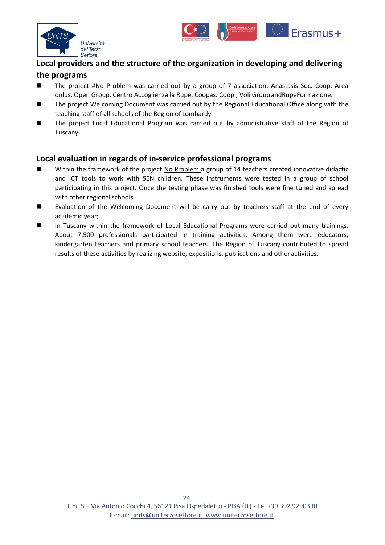



## <span id="page-23-0"></span>**Local providers and the structure of the organization in developing and delivering**

#### **the programs**

- The project [#No Problem w](http://www.regione.piemonte.it/noproblem/team_progetto.htm)as carried out by a group of 7 association: Anastasis Soc. Coop, Area onlus, Open Group, Centro Accoglienza la Rupe, Coopas. Coop., Voli GroupandRupeFormazione.
- The project [Welcoming Document w](http://www.magistricumacini.it/scuola/La_scuola/documenti/PTOF/PROTOCOLLO%20DI%20ACCOGLIENZA.pdf)as carried out by the Regional Educational Office along with the teaching staff of all schools of the Region of Lombardy.
- The project Local Educational Program was carried out by administrative staff of the Region of Tuscany.

#### <span id="page-23-1"></span>**Local evaluation in regards of in-service professional programs**

- Within the framework of the project [No Problem a](http://www.provinciavco.eu/attachments/article/2641/il%20progetto%20no%20problem.pdf) group of 14 teachers created innovative didactic and ICT tools to work with SEN children. These instruments were tested in a group of school participating in this project. Once the testing phase was finished tools were fine tuned and spread with other regional schools.
- Evaluation of the [Welcoming Document w](http://www.magistricumacini.it/scuola/La_scuola/documenti/PTOF/PROTOCOLLO%20DI%20ACCOGLIENZA.pdf)ill be carry out by teachers staff at the end of every academic year;
- In Tuscany within the framework of [Local Educational Programs w](http://www.regione.toscana.it/documents/10180/11774862/RT_2014_CAP_3_ESTRATTO.pdf/2aa47f96-65dc-4a02-92e9-6ab985d60737)ere carried out many trainings. About 7.500 professionals participated in training activities. Among them were educators, kindergarten teachers and primary school teachers. The Region of Tuscany contributed to spread results of these activities by realizing website, expositions, publications and other activities.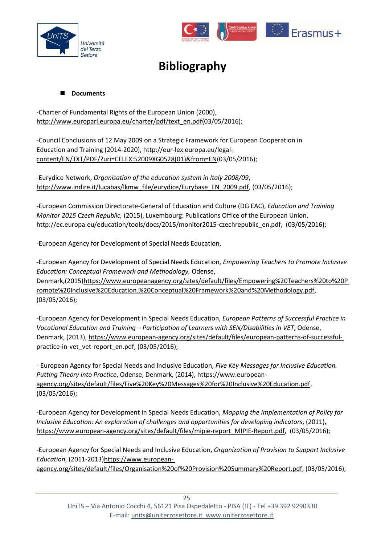<span id="page-24-0"></span>



# **Bibliography**

#### ■ Documents

-Charter of Fundamental Rights of the European Union (2000), [http://www.europarl.europa.eu/charter/pdf/text\\_en.pdf\(](http://www.europarl.europa.eu/charter/pdf/text_en.pdf)03/05/2016);

-Council Conclusions of 12 May 2009 on a Strategic Framework for European Cooperation in Education and Training (2014-2020)[, http://eur-lex.europa.eu/legal](http://eur-lex.europa.eu/legal-content/EN/TXT/PDF/?uri=CELEX%3A52009XG0528(01)&from=EN)[content/EN/TXT/PDF/?uri=CELEX:52009XG0528\(01\)&from=EN\(](http://eur-lex.europa.eu/legal-content/EN/TXT/PDF/?uri=CELEX%3A52009XG0528(01)&from=EN)03/05/2016);

-Eurydice Network, *Organisation of the education system in Italy 2008/09*, [http://www.indire.it/lucabas/lkmw\\_file/eurydice/Eurybase\\_EN\\_2009.pdf,](http://www.indire.it/lucabas/lkmw_file/eurydice/Eurybase_EN_2009.pdf) (03/05/2016);

-European Commission Directorate-General of Education and Culture (DG EAC), *Education and Training Monitor 2015 Czech Republic,* (2015), Luxembourg: Publications Office of the European Union, [http://ec.europa.eu/education/tools/docs/2015/monitor2015-czechrepublic\\_en.pdf,](http://ec.europa.eu/education/tools/docs/2015/monitor2015-czechrepublic_en.pdf) (03/05/2016);

-European Agency for Development of Special Needs Education,

-European Agency for Development of Special Needs Education, *Empowering Teachers to Promote Inclusive Education: Conceptual Framework and Methodology,* Odense, Denmark,(2015[\)https://www.europeanagency.org/sites/default/files/Empowering%20Teachers%20to%20P](https://www.europeanagency.org/sites/default/files/Empowering%20Teachers%20to%20Promote%20Inclusive%20Education.%20Conceptual%20Framework%20and%20Methodology.pdf) [romote%20Inclusive%20Education.%20Conceptual%20Framework%20and%20Methodology.pdf,](https://www.europeanagency.org/sites/default/files/Empowering%20Teachers%20to%20Promote%20Inclusive%20Education.%20Conceptual%20Framework%20and%20Methodology.pdf) (03/05/2016);

-European Agency for Development in Special Needs Education, *European Patterns of Successful Practice in Vocational Education and Training – Participation of Learners with SEN/Disabilities in VET*, Odense, Denmark, (2013), [https://www.european-agency.org/sites/default/files/european-patterns-of-successful](https://www.european-agency.org/sites/default/files/european-patterns-of-successful-practice-in-vet_vet-report_en.pdf)practice-in-vet vet-report en.pdf, (03/05/2016);

- European Agency for Special Needs and Inclusive Education, *Five Key Messages for Inclusive Education. Putting Theory into Practice*, Odense, Denmark, (2014), [https://www.european](https://www.european-agency.org/sites/default/files/Five%20Key%20Messages%20for%20Inclusive%20Education.pdf)[agency.org/sites/default/files/Five%20Key%20Messages%20for%20Inclusive%20Education.pdf,](https://www.european-agency.org/sites/default/files/Five%20Key%20Messages%20for%20Inclusive%20Education.pdf) (03/05/2016);

-European Agency for Development in Special Needs Education, *Mapping the Implementation of Policy for Inclusive Education: An exploration of challenges and opportunities for developing indicators*, (2011), [https://www.european-agency.org/sites/default/files/mipie-report\\_MIPIE-Report.pdf,](https://www.european-agency.org/sites/default/files/mipie-report_MIPIE-Report.pdf) (03/05/2016);

-European Agency for Special Needs and Inclusive Education, *Organization of Provision to Support Inclusive Education*, (2011-2013[\)https://www.european-](https://www.european-agency.org/sites/default/files/Organisation%20of%20Provision%20Summary%20Report.pdf)

[agency.org/sites/default/files/Organisation%20of%20Provision%20Summary%20Report.pdf,](https://www.european-agency.org/sites/default/files/Organisation%20of%20Provision%20Summary%20Report.pdf) (03/05/2016);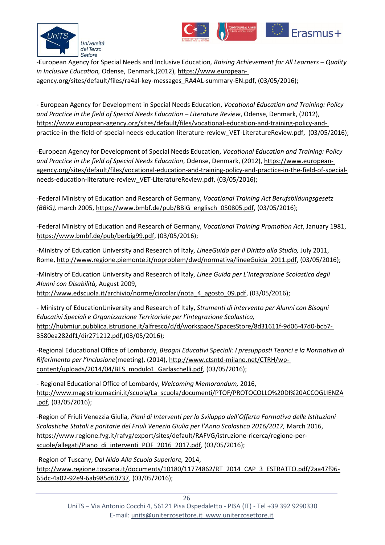



-European Agency for Special Needs and Inclusive Education*, Raising Achievement for All Learners – Quality in Inclusive Education,* Odense, Denmark,(2012)[, https://www.european](https://www.european-agency.org/sites/default/files/ra4al-key-messages_RA4AL-summary-EN.pdf)[agency.org/sites/default/files/ra4al-key-messages\\_RA4AL-summary-EN.pdf,](https://www.european-agency.org/sites/default/files/ra4al-key-messages_RA4AL-summary-EN.pdf) (03/05/2016);

- European Agency for Development in Special Needs Education, *Vocational Education and Training: Policy*  and Practice in the field of Special Needs Education - Literature Review, Odense, Denmark, (2012), [https://www.european-agency.org/sites/default/files/vocational-education-and-training-policy-and](https://www.european-agency.org/sites/default/files/vocational-education-and-training-policy-and-practice-in-the-field-of-special-needs-education-literature-review_VET-LiteratureReview.pdf)[practice-in-the-field-of-special-needs-education-literature-review\\_VET-LiteratureReview.pdf,](https://www.european-agency.org/sites/default/files/vocational-education-and-training-policy-and-practice-in-the-field-of-special-needs-education-literature-review_VET-LiteratureReview.pdf) (03/05/2016);

-European Agency for Development of Special Needs Education, *Vocational Education and Training: Policy and Practice in the field of Special Needs Education*, Odense, Denmark, (2012), [https://www.european](https://www.european-agency.org/sites/default/files/vocational-education-and-training-policy-and-practice-in-the-field-of-special-needs-education-literature-review_VET-LiteratureReview.pdf)[agency.org/sites/default/files/vocational-education-and-training-policy-and-practice-in-the-field-of-special](https://www.european-agency.org/sites/default/files/vocational-education-and-training-policy-and-practice-in-the-field-of-special-needs-education-literature-review_VET-LiteratureReview.pdf)[needs-education-literature-review\\_VET-LiteratureReview.pdf,](https://www.european-agency.org/sites/default/files/vocational-education-and-training-policy-and-practice-in-the-field-of-special-needs-education-literature-review_VET-LiteratureReview.pdf) (03/05/2016);

-Federal Ministry of Education and Research of Germany, *Vocational Training Act Berufsbildungsgesetz (BBiG),* march 2005, [https://www.bmbf.de/pub/BBiG\\_englisch\\_050805.pdf,](https://www.bmbf.de/pub/BBiG_englisch_050805.pdf) (03/05/2016);

-Federal Ministry of Education and Research of Germany, *Vocational Training Promotion Act*, January 1981, [https://www.bmbf.de/pub/berbig99.pdf,](https://www.bmbf.de/pub/berbig99.pdf) (03/05/2016);

-Ministry of Education University and Research of Italy, *LineeGuida per il Diritto allo Studio,* July 2011, Rome, [http://www.regione.piemonte.it/noproblem/dwd/normativa/lineeGuida\\_2011.pdf,](http://www.regione.piemonte.it/noproblem/dwd/normativa/lineeGuida_2011.pdf) (03/05/2016);

-Ministry of Education University and Research of Italy, *Linee Guida per L'Integrazione Scolastica degli Alunni con Disabilità,* August 2009,

[http://www.edscuola.it/archivio/norme/circolari/nota\\_4\\_agosto\\_09.pdf,](http://www.edscuola.it/archivio/norme/circolari/nota_4_agosto_09.pdf) (03/05/2016);

- Ministry of EducationUniversity and Research of Italy, *Strumenti di intervento per Alunni con Bisogni Educativi Speciali e Organizzazione Territoriale per l'Integrazione Scolastica,*  [http://hubmiur.pubblica.istruzione.it/alfresco/d/d/workspace/SpacesStore/8d31611f-9d06-47d0-bcb7-](http://hubmiur.pubblica.istruzione.it/alfresco/d/d/workspace/SpacesStore/8d31611f-9d06-47d0-bcb7-3580ea282df1/dir271212.pdf) [3580ea282df1/dir271212.pdf,](http://hubmiur.pubblica.istruzione.it/alfresco/d/d/workspace/SpacesStore/8d31611f-9d06-47d0-bcb7-3580ea282df1/dir271212.pdf)(03/05/2016);

-Regional Educational Office of Lombardy, *Bisogni Educativi Speciali: I presupposti Teorici e la Normativa di Riferimento per l'Inclusione*(meeting), (2014), [http://www.ctsntd-milano.net/CTRH/wp](http://www.ctsntd-milano.net/CTRH/wp-content/uploads/2014/04/BES_modulo1_Garlaschelli.pdf)[content/uploads/2014/04/BES\\_modulo1\\_Garlaschelli.pdf,](http://www.ctsntd-milano.net/CTRH/wp-content/uploads/2014/04/BES_modulo1_Garlaschelli.pdf) (03/05/2016);

- Regional Educational Office of Lombardy, *Welcoming Memorandum,* 2016, [http://www.magistricumacini.it/scuola/La\\_scuola/documenti/PTOF/PROTOCOLLO%20DI%20ACCOGLIENZA](http://www.magistricumacini.it/scuola/La_scuola/documenti/PTOF/PROTOCOLLO%20DI%20ACCOGLIENZA.pdf) [.pdf,](http://www.magistricumacini.it/scuola/La_scuola/documenti/PTOF/PROTOCOLLO%20DI%20ACCOGLIENZA.pdf) (03/05/2016);

-Region of Friuli Venezzia Giulia, *Piani di Interventi per lo Sviluppo dell'Offerta Formativa delle Istituzioni Scolastiche Statali e paritarie del Friuli Venezia Giulia per l'Anno Scolastico 2016/2017,* March 2016, [https://www.regione.fvg.it/rafvg/export/sites/default/RAFVG/istruzione-ricerca/regione-per](https://www.regione.fvg.it/rafvg/export/sites/default/RAFVG/istruzione-ricerca/regione-per-scuole/allegati/Piano_di_interventi_POF_2016_2017.pdf)[scuole/allegati/Piano\\_di\\_interventi\\_POF\\_2016\\_2017.pdf,](https://www.regione.fvg.it/rafvg/export/sites/default/RAFVG/istruzione-ricerca/regione-per-scuole/allegati/Piano_di_interventi_POF_2016_2017.pdf) (03/05/2016);

-Region of Tuscany, *Dal Nido Alla Scuola Superiore,* 2014, [http://www.regione.toscana.it/documents/10180/11774862/RT\\_2014\\_CAP\\_3\\_ESTRATTO.pdf/2aa47f96-](http://www.regione.toscana.it/documents/10180/11774862/RT_2014_CAP_3_ESTRATTO.pdf/2aa47f96-65dc-4a02-92e9-6ab985d60737) [65dc-4a02-92e9-6ab985d60737,](http://www.regione.toscana.it/documents/10180/11774862/RT_2014_CAP_3_ESTRATTO.pdf/2aa47f96-65dc-4a02-92e9-6ab985d60737) (03/05/2016);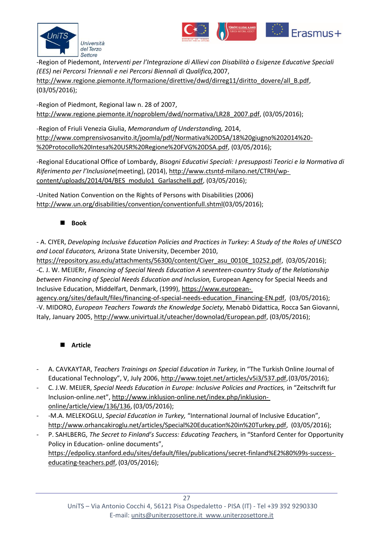



-Region of Piedemont, *Interventi per l'Integrazione di Allievi con Disabilità o Esigenze Educative Speciali (EES) nei Percorsi Triennali e nei Percorsi Biennali di Qualifica,*2007,

[http://www.regione.piemonte.it/formazione/direttive/dwd/dirreg11/diritto\\_dovere/all\\_B.pdf,](http://www.regione.piemonte.it/formazione/direttive/dwd/dirreg11/diritto_dovere/all_B.pdf) (03/05/2016);

-Region of Piedmont, Regional law n. 28 of 2007, [http://www.regione.piemonte.it/noproblem/dwd/normativa/LR28\\_2007.pdf,](http://www.regione.piemonte.it/noproblem/dwd/normativa/LR28_2007.pdf) (03/05/2016);

-Region of Friuli Venezia Giulia, *Memorandum of Understanding,* 2014, [http://www.comprensivosanvito.it/joomla/pdf/Normativa%20DSA/18%20giugno%202014%20-](http://www.comprensivosanvito.it/joomla/pdf/Normativa%20DSA/18%20giugno%202014%20-%20Protocollo%20Intesa%20USR%20Regione%20FVG%20DSA.pdf) [%20Protocollo%20Intesa%20USR%20Regione%20FVG%20DSA.pdf,](http://www.comprensivosanvito.it/joomla/pdf/Normativa%20DSA/18%20giugno%202014%20-%20Protocollo%20Intesa%20USR%20Regione%20FVG%20DSA.pdf) (03/05/2016);

-Regional Educational Office of Lombardy, *Bisogni Educativi Speciali: I presupposti Teorici e la Normativa di Riferimento per l'Inclusione*(meeting), (2014), [http://www.ctsntd-milano.net/CTRH/wp](http://www.ctsntd-milano.net/CTRH/wp-content/uploads/2014/04/BES_modulo1_Garlaschelli.pdf)[content/uploads/2014/04/BES\\_modulo1\\_Garlaschelli.pdf,](http://www.ctsntd-milano.net/CTRH/wp-content/uploads/2014/04/BES_modulo1_Garlaschelli.pdf) (03/05/2016);

-United Nation Convention on the Rights of Persons with Disabilities (2006) [http://www.un.org/disabilities/convention/conventionfull.shtml\(](http://www.un.org/disabilities/convention/conventionfull.shtml)03/05/2016);

#### **Book**

- A. CIYER, *Developing Inclusive Education Policies and Practices in Turkey: A Study of the Roles of UNESCO and Local Educators,* Arizona State University, December 2010,

[https://repository.asu.edu/attachments/56300/content/Ciyer\\_asu\\_0010E\\_10252.pdf,](https://repository.asu.edu/attachments/56300/content/Ciyer_asu_0010E_10252.pdf) (03/05/2016); -C. J. W. MEIJERr, *Financing of Special Needs Education A seventeen-country Study of the Relationship between Financing of Special Needs Education and Inclusion,* European Agency for Special Needs and Inclusive Education, Middelfart, Denmark, (1999), [https://www.european-](https://www.european-agency.org/sites/default/files/financing-of-special-needs-education_Financing-EN.pdf)

agency.org/sites/default/files/financing-of-special-needs-education Financing-EN.pdf, (03/05/2016); -V. MIDORO, *European Teachers Towards the Knowledge Society,* Menabò Didattica, Rocca San Giovanni, Italy, January 2005[, http://www.univirtual.it/uteacher/downolad/European.pdf,](http://www.univirtual.it/uteacher/downolad/European.pdf) (03/05/2016);

#### **Article**

- A. CAVKAYTAR, *Teachers Trainings on Special Education in Turkey,* in "The Turkish Online Journal of Educational Technology", V, July 2006, [http://www.tojet.net/articles/v5i3/537.pdf,\(](http://www.tojet.net/articles/v5i3/537.pdf)03/05/2016);
- C. J.W. MEIJER, *Special Needs Education in Europe: Inclusive Policies and Practices,* in "Zeitschrift fur Inclusion-online.net", [http://www.inklusion-online.net/index.php/inklusion](http://www.inklusion-online.net/index.php/inklusion-online/article/view/136/136)[online/article/view/136/136,](http://www.inklusion-online.net/index.php/inklusion-online/article/view/136/136) (03/05/2016);
- -M.A. MELEKOGLU, *Special Education in Turkey,* "International Journal of Inclusive Education", [http://www.orhancakiroglu.net/articles/Special%20Education%20in%20Turkey.pdf,](http://www.orhancakiroglu.net/articles/Special%20Education%20in%20Turkey.pdf) (03/05/2016);
- P. SAHLBERG, *The Secret to Finland's Success: Educating Teachers,* in "Stanford Center for Opportunity Policy in Education- online documents", [https://edpolicy.stanford.edu/sites/default/files/publications/secret-finland%E2%80%99s-success](https://edpolicy.stanford.edu/sites/default/files/publications/secret-finland%E2%80%99s-success-educating-teachers.pdf)[educating-teachers.pdf,](https://edpolicy.stanford.edu/sites/default/files/publications/secret-finland%E2%80%99s-success-educating-teachers.pdf) (03/05/2016);